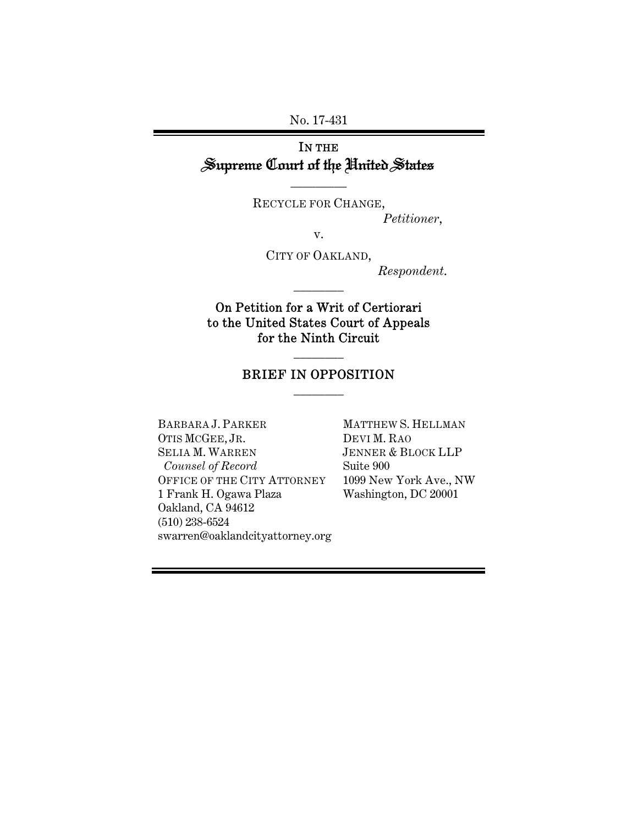No. 17-431

# IN THE Supreme Court of the United States

\_\_\_\_\_\_\_\_\_

RECYCLE FOR CHANGE,

*Petitioner*,

v.

CITY OF OAKLAND,

\_\_\_\_\_\_\_\_

*Respondent*.

On Petition for a Writ of Certiorari to the United States Court of Appeals for the Ninth Circuit

## BRIEF IN OPPOSITION \_\_\_\_\_\_\_\_

\_\_\_\_\_\_\_\_

BARBARA J. PARKER OTIS MCGEE, JR. SELIA M. WARREN  *Counsel of Record*  OFFICE OF THE CITY ATTORNEY 1 Frank H. Ogawa Plaza Oakland, CA 94612 (510) 238-6524 swarren@oaklandcityattorney.org

MATTHEW S. HELLMAN DEVI M. RAO JENNER & BLOCK LLP Suite 900 1099 New York Ave., NW Washington, DC 20001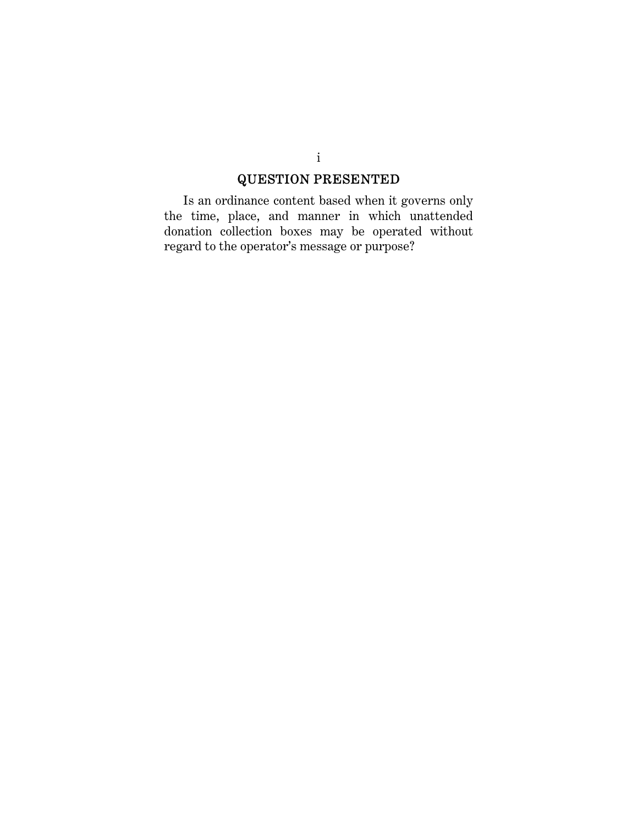# QUESTION PRESENTED

Is an ordinance content based when it governs only the time, place, and manner in which unattended donation collection boxes may be operated without regard to the operator's message or purpose?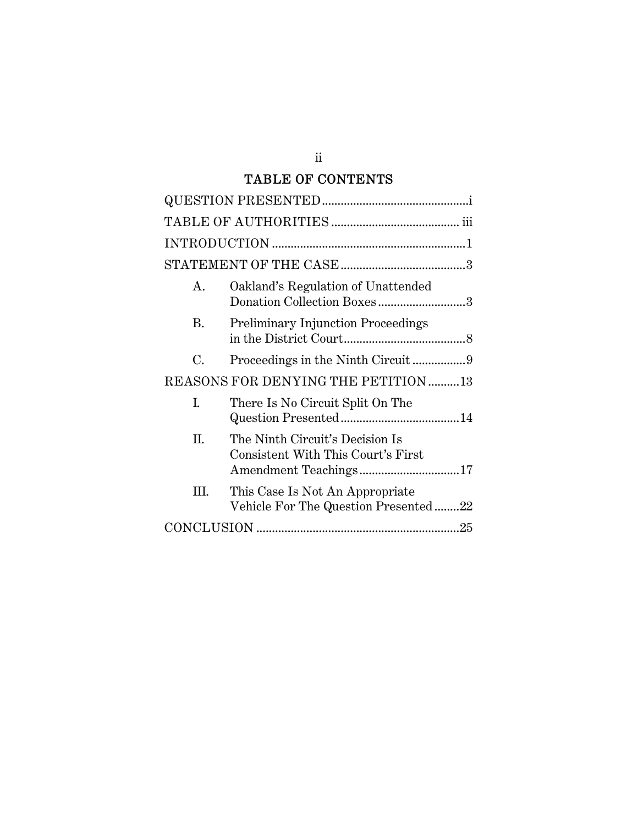# TABLE OF CONTENTS

| A.                                   | Oakland's Regulation of Unattended<br>Donation Collection Boxes3        |  |  |
|--------------------------------------|-------------------------------------------------------------------------|--|--|
| В.                                   | <b>Preliminary Injunction Proceedings</b>                               |  |  |
| C.                                   |                                                                         |  |  |
| REASONS FOR DENYING THE PETITION  13 |                                                                         |  |  |
| I.                                   | There Is No Circuit Split On The                                        |  |  |
| Π.                                   | The Ninth Circuit's Decision Is<br>Consistent With This Court's First   |  |  |
| Ш.                                   | This Case Is Not An Appropriate<br>Vehicle For The Question Presented22 |  |  |
|                                      |                                                                         |  |  |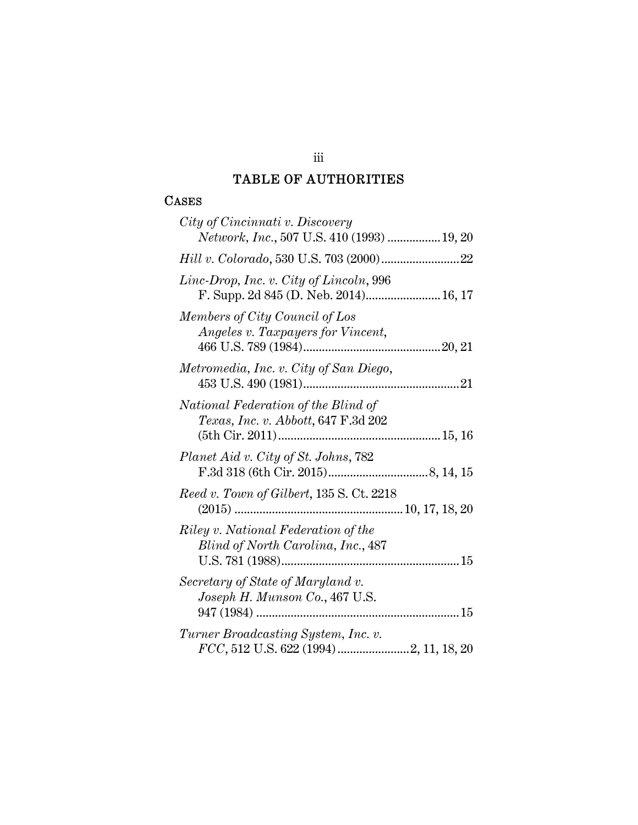# TABLE OF AUTHORITIES

## CASES

| City of Cincinnati v. Discovery<br>Network, Inc., 507 U.S. 410 (1993)  19, 20                |
|----------------------------------------------------------------------------------------------|
|                                                                                              |
| Linc-Drop, Inc. v. City of Lincoln, 996<br>F. Supp. 2d 845 (D. Neb. 2014) 16, 17             |
| Members of City Council of Los<br>Angeles v. Taxpayers for Vincent,                          |
| Metromedia, Inc. v. City of San Diego,                                                       |
| National Federation of the Blind of<br>Texas, Inc. v. Abbott, 647 F.3d 202                   |
| Planet Aid v. City of St. Johns, 782                                                         |
| Reed v. Town of Gilbert, 135 S. Ct. 2218                                                     |
| Riley v. National Federation of the<br>Blind of North Carolina, Inc., 487<br>U.S. 781 (1988) |
| Secretary of State of Maryland v.<br>Joseph H. Munson Co., 467 U.S.                          |
| Turner Broadcasting System, Inc. v.                                                          |

## iii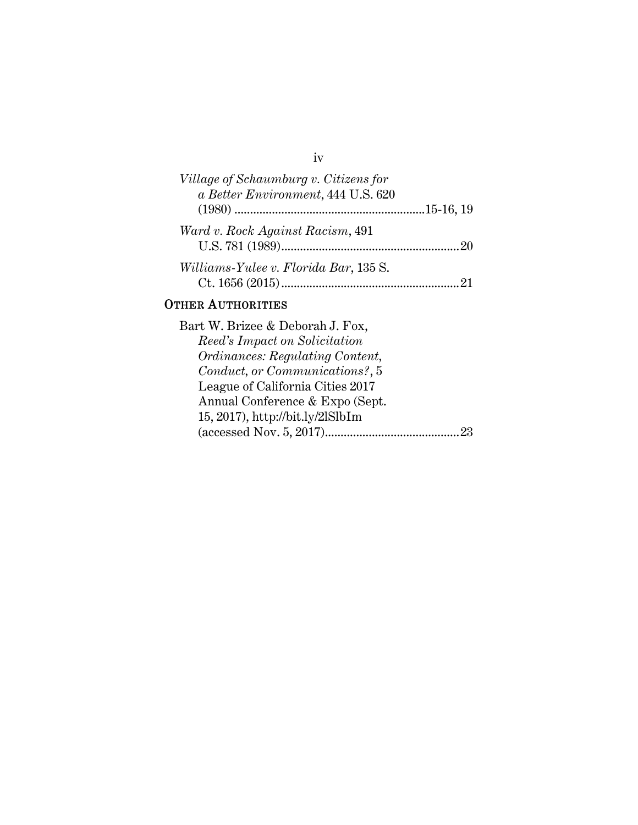# iv

| Village of Schaumburg v. Citizens for<br>a Better Environment, 444 U.S. 620 |  |
|-----------------------------------------------------------------------------|--|
|                                                                             |  |
| Ward v. Rock Against Racism, 491                                            |  |
| Williams-Yulee v. Florida Bar, 135 S.                                       |  |
|                                                                             |  |

# OTHER AUTHORITIES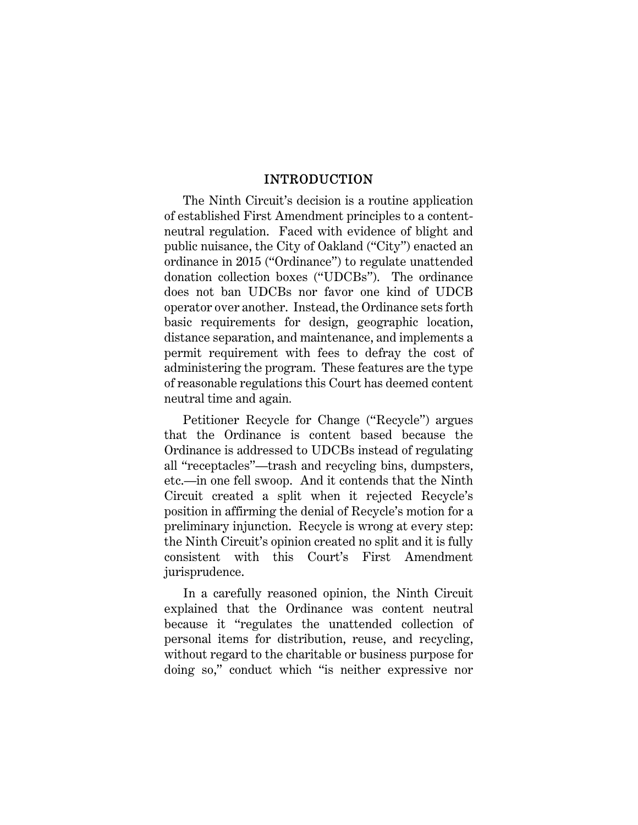#### INTRODUCTION

The Ninth Circuit's decision is a routine application of established First Amendment principles to a contentneutral regulation. Faced with evidence of blight and public nuisance, the City of Oakland ("City") enacted an ordinance in 2015 ("Ordinance") to regulate unattended donation collection boxes ("UDCBs"). The ordinance does not ban UDCBs nor favor one kind of UDCB operator over another. Instead, the Ordinance sets forth basic requirements for design, geographic location, distance separation, and maintenance, and implements a permit requirement with fees to defray the cost of administering the program. These features are the type of reasonable regulations this Court has deemed content neutral time and again*.* 

Petitioner Recycle for Change ("Recycle") argues that the Ordinance is content based because the Ordinance is addressed to UDCBs instead of regulating all "receptacles"—trash and recycling bins, dumpsters, etc.—in one fell swoop. And it contends that the Ninth Circuit created a split when it rejected Recycle's position in affirming the denial of Recycle's motion for a preliminary injunction. Recycle is wrong at every step: the Ninth Circuit's opinion created no split and it is fully consistent with this Court's First Amendment jurisprudence.

In a carefully reasoned opinion, the Ninth Circuit explained that the Ordinance was content neutral because it "regulates the unattended collection of personal items for distribution, reuse, and recycling, without regard to the charitable or business purpose for doing so," conduct which "is neither expressive nor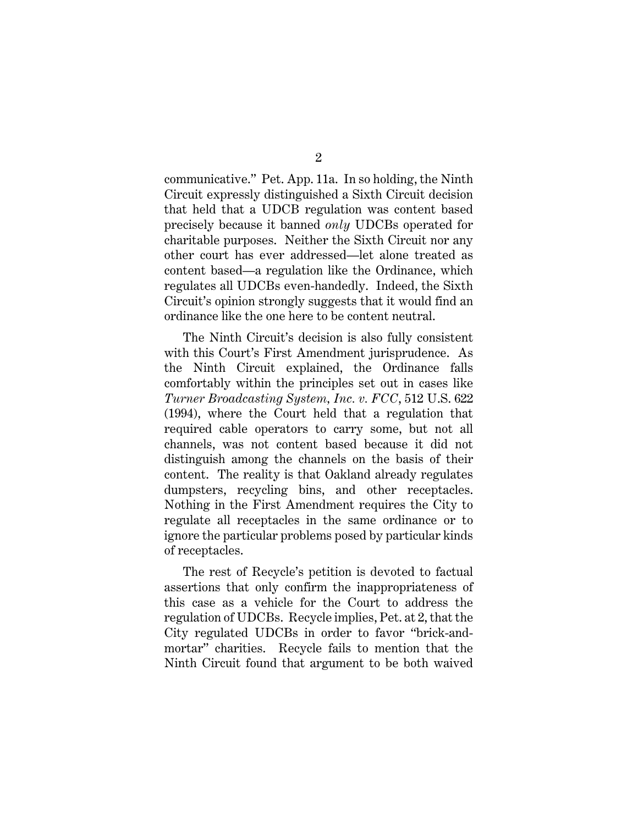communicative." Pet. App. 11a. In so holding, the Ninth Circuit expressly distinguished a Sixth Circuit decision that held that a UDCB regulation was content based precisely because it banned *only* UDCBs operated for charitable purposes. Neither the Sixth Circuit nor any other court has ever addressed—let alone treated as content based—a regulation like the Ordinance, which regulates all UDCBs even-handedly. Indeed, the Sixth Circuit's opinion strongly suggests that it would find an ordinance like the one here to be content neutral.

The Ninth Circuit's decision is also fully consistent with this Court's First Amendment jurisprudence. As the Ninth Circuit explained, the Ordinance falls comfortably within the principles set out in cases like *Turner Broadcasting System, Inc. v. FCC*, 512 U.S. 622 (1994), where the Court held that a regulation that required cable operators to carry some, but not all channels, was not content based because it did not distinguish among the channels on the basis of their content. The reality is that Oakland already regulates dumpsters, recycling bins, and other receptacles. Nothing in the First Amendment requires the City to regulate all receptacles in the same ordinance or to ignore the particular problems posed by particular kinds of receptacles.

The rest of Recycle's petition is devoted to factual assertions that only confirm the inappropriateness of this case as a vehicle for the Court to address the regulation of UDCBs. Recycle implies, Pet. at 2, that the City regulated UDCBs in order to favor "brick-andmortar" charities. Recycle fails to mention that the Ninth Circuit found that argument to be both waived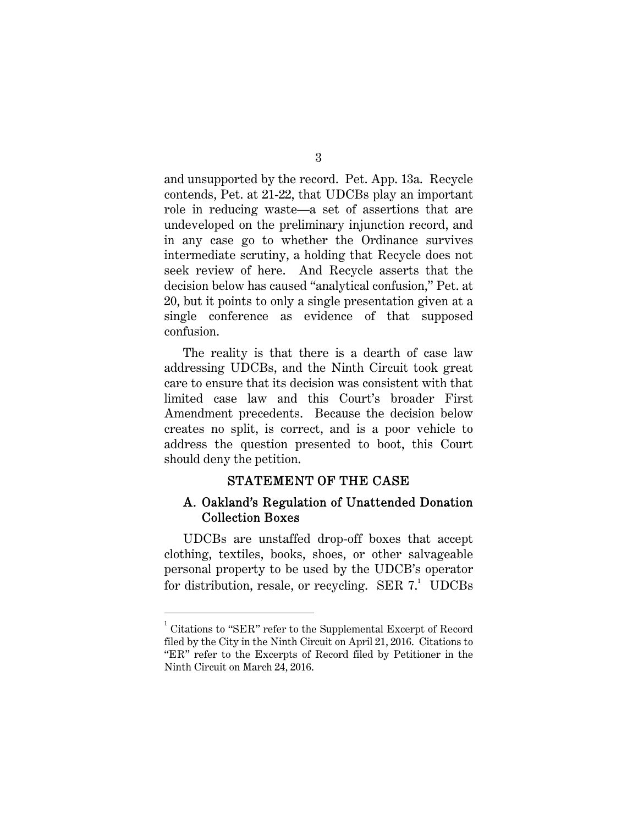and unsupported by the record. Pet. App. 13a. Recycle contends, Pet. at 21-22, that UDCBs play an important role in reducing waste—a set of assertions that are undeveloped on the preliminary injunction record, and in any case go to whether the Ordinance survives intermediate scrutiny, a holding that Recycle does not seek review of here. And Recycle asserts that the decision below has caused "analytical confusion," Pet. at 20, but it points to only a single presentation given at a single conference as evidence of that supposed confusion.

The reality is that there is a dearth of case law addressing UDCBs, and the Ninth Circuit took great care to ensure that its decision was consistent with that limited case law and this Court's broader First Amendment precedents. Because the decision below creates no split, is correct, and is a poor vehicle to address the question presented to boot, this Court should deny the petition.

#### STATEMENT OF THE CASE

### A. Oakland's Regulation of Unattended Donation Collection Boxes

UDCBs are unstaffed drop-off boxes that accept clothing, textiles, books, shoes, or other salvageable personal property to be used by the UDCB's operator for distribution, resale, or recycling. SER  $7<sup>1</sup>$  UDCBs

 $\overline{a}$ 

<sup>&</sup>lt;sup>1</sup> Citations to "SER" refer to the Supplemental Excerpt of Record filed by the City in the Ninth Circuit on April 21, 2016. Citations to "ER" refer to the Excerpts of Record filed by Petitioner in the Ninth Circuit on March 24, 2016.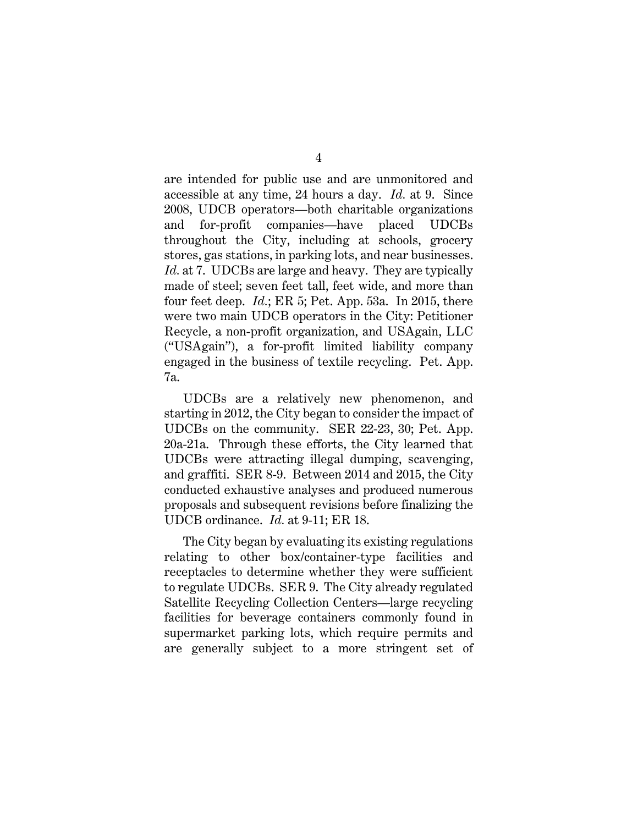are intended for public use and are unmonitored and accessible at any time, 24 hours a day. *Id.* at 9. Since 2008, UDCB operators—both charitable organizations and for-profit companies—have placed UDCBs throughout the City, including at schools, grocery stores, gas stations, in parking lots, and near businesses. *Id.* at 7. UDCBs are large and heavy. They are typically made of steel; seven feet tall, feet wide, and more than four feet deep. *Id.*; ER 5; Pet. App. 53a. In 2015, there were two main UDCB operators in the City: Petitioner Recycle, a non-profit organization, and USAgain, LLC ("USAgain"), a for-profit limited liability company engaged in the business of textile recycling. Pet. App. 7a.

UDCBs are a relatively new phenomenon, and starting in 2012, the City began to consider the impact of UDCBs on the community. SER 22-23, 30; Pet. App. 20a-21a. Through these efforts, the City learned that UDCBs were attracting illegal dumping, scavenging, and graffiti. SER 8-9. Between 2014 and 2015, the City conducted exhaustive analyses and produced numerous proposals and subsequent revisions before finalizing the UDCB ordinance. *Id.* at 9-11; ER 18.

The City began by evaluating its existing regulations relating to other box/container-type facilities and receptacles to determine whether they were sufficient to regulate UDCBs. SER 9. The City already regulated Satellite Recycling Collection Centers—large recycling facilities for beverage containers commonly found in supermarket parking lots, which require permits and are generally subject to a more stringent set of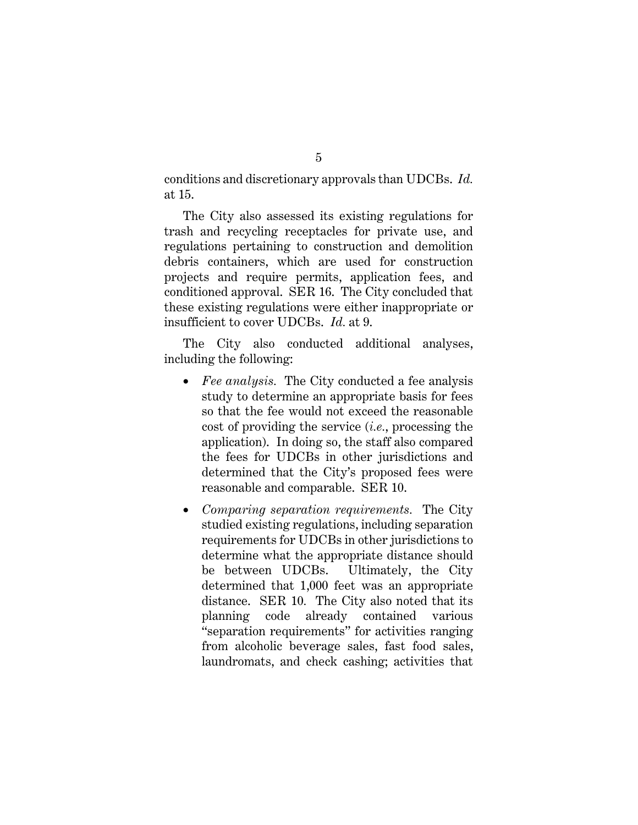conditions and discretionary approvals than UDCBs. *Id.* at 15.

The City also assessed its existing regulations for trash and recycling receptacles for private use, and regulations pertaining to construction and demolition debris containers, which are used for construction projects and require permits, application fees, and conditioned approval. SER 16. The City concluded that these existing regulations were either inappropriate or insufficient to cover UDCBs. *Id.* at 9.

The City also conducted additional analyses, including the following:

- *Fee analysis.* The City conducted a fee analysis study to determine an appropriate basis for fees so that the fee would not exceed the reasonable cost of providing the service (*i.e.*, processing the application). In doing so, the staff also compared the fees for UDCBs in other jurisdictions and determined that the City's proposed fees were reasonable and comparable. SER 10.
- *Comparing separation requirements.* The City studied existing regulations, including separation requirements for UDCBs in other jurisdictions to determine what the appropriate distance should be between UDCBs. Ultimately, the City determined that 1,000 feet was an appropriate distance. SER 10*.* The City also noted that its planning code already contained various "separation requirements" for activities ranging from alcoholic beverage sales, fast food sales, laundromats, and check cashing; activities that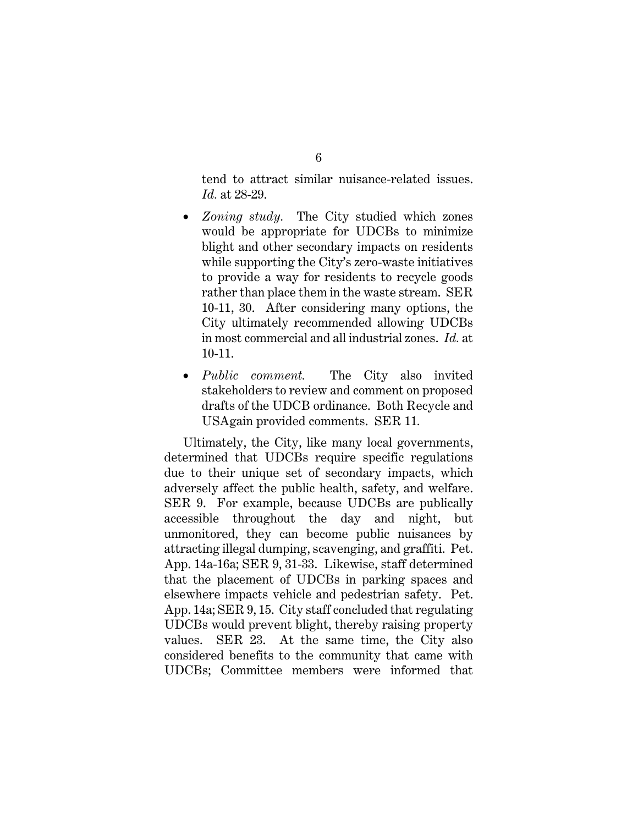tend to attract similar nuisance-related issues. *Id.* at 28-29.

- *Zoning study.* The City studied which zones would be appropriate for UDCBs to minimize blight and other secondary impacts on residents while supporting the City's zero-waste initiatives to provide a way for residents to recycle goods rather than place them in the waste stream. SER 10-11, 30. After considering many options, the City ultimately recommended allowing UDCBs in most commercial and all industrial zones. *Id.* at 10-11.
- *Public comment.* The City also invited stakeholders to review and comment on proposed drafts of the UDCB ordinance. Both Recycle and USAgain provided comments. SER 11*.*

Ultimately, the City, like many local governments, determined that UDCBs require specific regulations due to their unique set of secondary impacts, which adversely affect the public health, safety, and welfare. SER 9. For example, because UDCBs are publically accessible throughout the day and night, but unmonitored, they can become public nuisances by attracting illegal dumping, scavenging, and graffiti. Pet. App. 14a-16a; SER 9, 31-33. Likewise, staff determined that the placement of UDCBs in parking spaces and elsewhere impacts vehicle and pedestrian safety. Pet. App. 14a; SER 9, 15. City staff concluded that regulating UDCBs would prevent blight, thereby raising property values. SER 23. At the same time, the City also considered benefits to the community that came with UDCBs; Committee members were informed that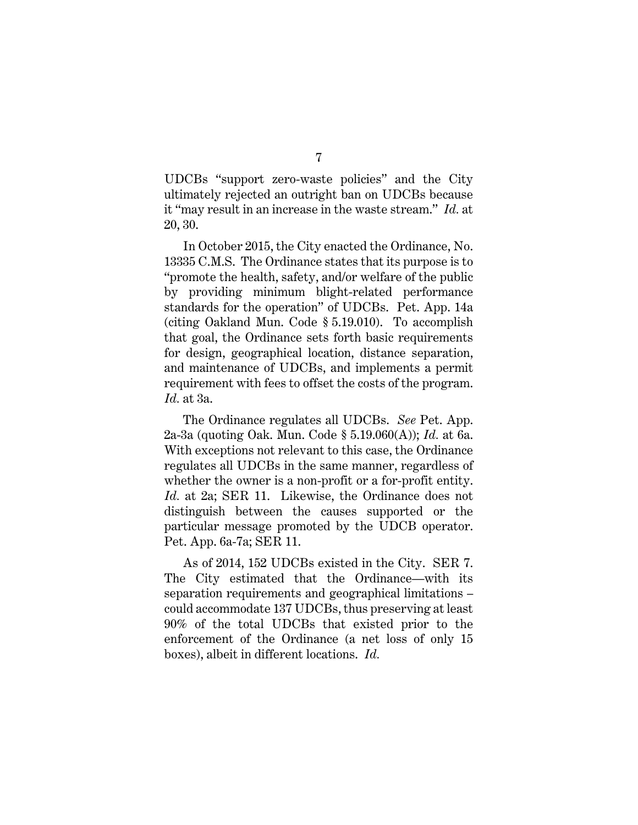UDCBs "support zero-waste policies" and the City ultimately rejected an outright ban on UDCBs because it "may result in an increase in the waste stream." *Id.* at 20, 30.

In October 2015, the City enacted the Ordinance, No. 13335 C.M.S. The Ordinance states that its purpose is to "promote the health, safety, and/or welfare of the public by providing minimum blight-related performance standards for the operation" of UDCBs. Pet. App. 14a (citing Oakland Mun. Code § 5.19.010). To accomplish that goal, the Ordinance sets forth basic requirements for design, geographical location, distance separation, and maintenance of UDCBs, and implements a permit requirement with fees to offset the costs of the program. *Id.* at 3a.

The Ordinance regulates all UDCBs. *See* Pet. App. 2a-3a (quoting Oak. Mun. Code § 5.19.060(A)); *Id.* at 6a. With exceptions not relevant to this case, the Ordinance regulates all UDCBs in the same manner, regardless of whether the owner is a non-profit or a for-profit entity. *Id.* at 2a; SER 11. Likewise, the Ordinance does not distinguish between the causes supported or the particular message promoted by the UDCB operator. Pet. App. 6a-7a; SER 11.

As of 2014, 152 UDCBs existed in the City. SER 7. The City estimated that the Ordinance—with its separation requirements and geographical limitations – could accommodate 137 UDCBs, thus preserving at least 90% of the total UDCBs that existed prior to the enforcement of the Ordinance (a net loss of only 15 boxes), albeit in different locations. *Id.*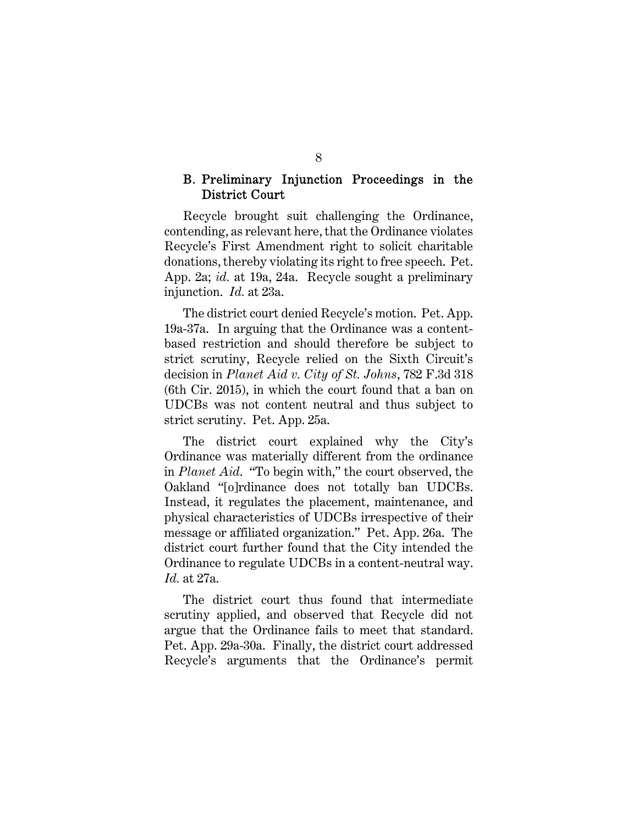### B. Preliminary Injunction Proceedings in the District Court

Recycle brought suit challenging the Ordinance, contending, as relevant here, that the Ordinance violates Recycle's First Amendment right to solicit charitable donations, thereby violating its right to free speech. Pet. App. 2a; *id.* at 19a, 24a. Recycle sought a preliminary injunction. *Id.* at 23a.

The district court denied Recycle's motion. Pet. App. 19a-37a. In arguing that the Ordinance was a contentbased restriction and should therefore be subject to strict scrutiny, Recycle relied on the Sixth Circuit's decision in *Planet Aid v. City of St. Johns*, 782 F.3d 318 (6th Cir. 2015), in which the court found that a ban on UDCBs was not content neutral and thus subject to strict scrutiny. Pet. App. 25a.

The district court explained why the City's Ordinance was materially different from the ordinance in *Planet Aid*. "To begin with," the court observed, the Oakland "[o]rdinance does not totally ban UDCBs. Instead, it regulates the placement, maintenance, and physical characteristics of UDCBs irrespective of their message or affiliated organization." Pet. App. 26a. The district court further found that the City intended the Ordinance to regulate UDCBs in a content-neutral way. *Id.* at 27a.

The district court thus found that intermediate scrutiny applied, and observed that Recycle did not argue that the Ordinance fails to meet that standard. Pet. App. 29a-30a. Finally, the district court addressed Recycle's arguments that the Ordinance's permit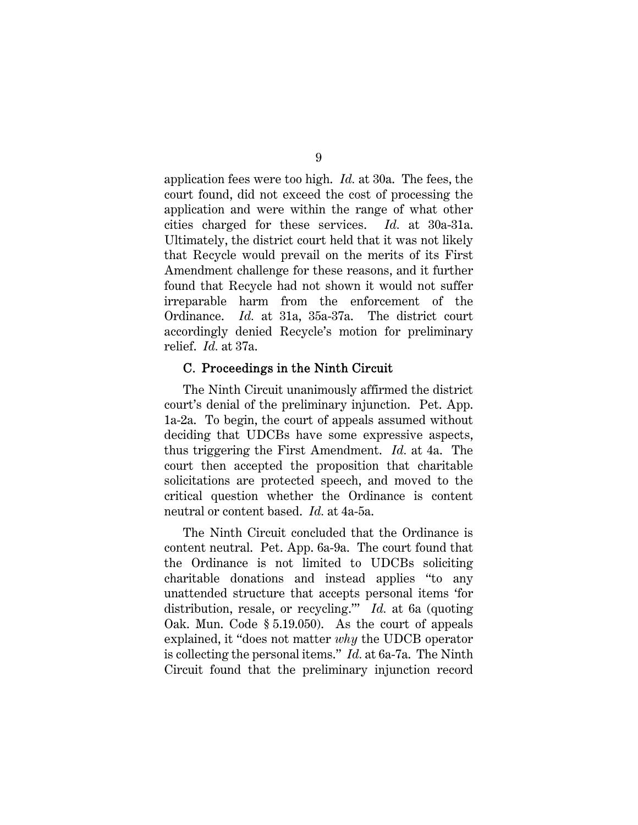application fees were too high. *Id.* at 30a. The fees, the court found, did not exceed the cost of processing the application and were within the range of what other cities charged for these services. *Id.* at 30a-31a. Ultimately, the district court held that it was not likely that Recycle would prevail on the merits of its First Amendment challenge for these reasons, and it further found that Recycle had not shown it would not suffer irreparable harm from the enforcement of the Ordinance. *Id.* at 31a, 35a-37a. The district court accordingly denied Recycle's motion for preliminary relief. *Id.* at 37a.

#### C. Proceedings in the Ninth Circuit

The Ninth Circuit unanimously affirmed the district court's denial of the preliminary injunction. Pet. App. 1a-2a. To begin, the court of appeals assumed without deciding that UDCBs have some expressive aspects, thus triggering the First Amendment. *Id.* at 4a. The court then accepted the proposition that charitable solicitations are protected speech, and moved to the critical question whether the Ordinance is content neutral or content based. *Id.* at 4a-5a.

The Ninth Circuit concluded that the Ordinance is content neutral. Pet. App. 6a-9a. The court found that the Ordinance is not limited to UDCBs soliciting charitable donations and instead applies "to any unattended structure that accepts personal items 'for distribution, resale, or recycling.'" *Id.* at 6a (quoting Oak. Mun. Code § 5.19.050). As the court of appeals explained, it "does not matter *why* the UDCB operator is collecting the personal items." *Id.* at 6a-7a. The Ninth Circuit found that the preliminary injunction record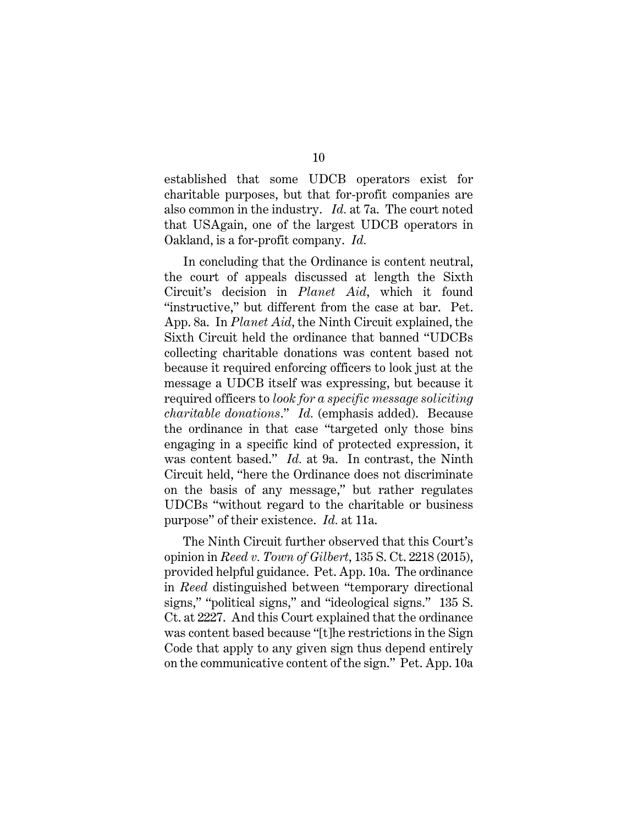established that some UDCB operators exist for charitable purposes, but that for-profit companies are also common in the industry. *Id.* at 7a. The court noted that USAgain, one of the largest UDCB operators in Oakland, is a for-profit company. *Id.*

In concluding that the Ordinance is content neutral, the court of appeals discussed at length the Sixth Circuit's decision in *Planet Aid*, which it found "instructive," but different from the case at bar. Pet. App. 8a. In *Planet Aid*, the Ninth Circuit explained, the Sixth Circuit held the ordinance that banned "UDCBs collecting charitable donations was content based not because it required enforcing officers to look just at the message a UDCB itself was expressing, but because it required officers to *look for a specific message soliciting charitable donations*." *Id.* (emphasis added). Because the ordinance in that case "targeted only those bins engaging in a specific kind of protected expression, it was content based." *Id.* at 9a. In contrast, the Ninth Circuit held, "here the Ordinance does not discriminate on the basis of any message," but rather regulates UDCBs "without regard to the charitable or business purpose" of their existence. *Id.* at 11a.

The Ninth Circuit further observed that this Court's opinion in *Reed v. Town of Gilbert*, 135 S. Ct. 2218 (2015), provided helpful guidance. Pet. App. 10a. The ordinance in *Reed* distinguished between "temporary directional signs," "political signs," and "ideological signs." 135 S. Ct. at 2227. And this Court explained that the ordinance was content based because "[t]he restrictions in the Sign Code that apply to any given sign thus depend entirely on the communicative content of the sign." Pet. App. 10a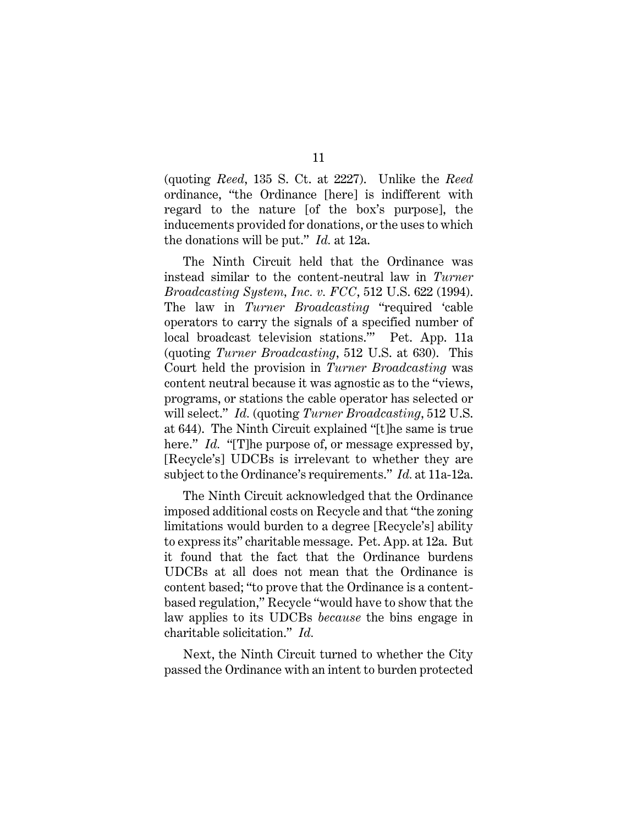(quoting *Reed*, 135 S. Ct. at 2227). Unlike the *Reed*  ordinance, "the Ordinance [here] is indifferent with regard to the nature [of the box's purpose], the inducements provided for donations, or the uses to which the donations will be put." *Id.* at 12a.

The Ninth Circuit held that the Ordinance was instead similar to the content-neutral law in *Turner Broadcasting System, Inc. v. FCC*, 512 U.S. 622 (1994). The law in *Turner Broadcasting* "required 'cable operators to carry the signals of a specified number of local broadcast television stations.'" Pet. App. 11a (quoting *Turner Broadcasting*, 512 U.S. at 630). This Court held the provision in *Turner Broadcasting* was content neutral because it was agnostic as to the "views, programs, or stations the cable operator has selected or will select." *Id.* (quoting *Turner Broadcasting*, 512 U.S. at 644). The Ninth Circuit explained "[t]he same is true here." *Id.* "[T]he purpose of, or message expressed by, [Recycle's] UDCBs is irrelevant to whether they are subject to the Ordinance's requirements." *Id.* at 11a-12a.

The Ninth Circuit acknowledged that the Ordinance imposed additional costs on Recycle and that "the zoning limitations would burden to a degree [Recycle's] ability to express its" charitable message. Pet. App. at 12a. But it found that the fact that the Ordinance burdens UDCBs at all does not mean that the Ordinance is content based; "to prove that the Ordinance is a contentbased regulation," Recycle "would have to show that the law applies to its UDCBs *because* the bins engage in charitable solicitation." *Id.*

Next, the Ninth Circuit turned to whether the City passed the Ordinance with an intent to burden protected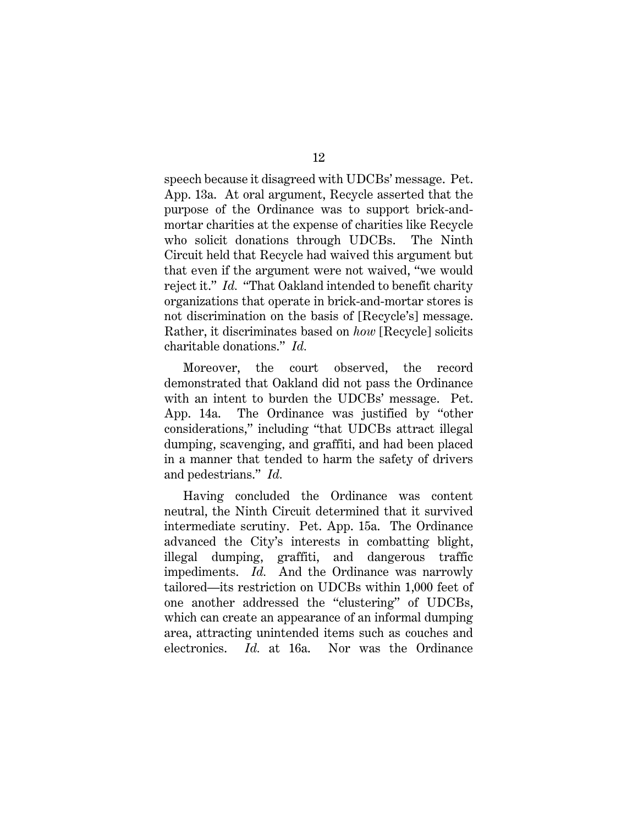speech because it disagreed with UDCBs' message. Pet. App. 13a. At oral argument, Recycle asserted that the purpose of the Ordinance was to support brick-andmortar charities at the expense of charities like Recycle who solicit donations through UDCBs. The Ninth Circuit held that Recycle had waived this argument but that even if the argument were not waived, "we would reject it." *Id.* "That Oakland intended to benefit charity organizations that operate in brick-and-mortar stores is not discrimination on the basis of [Recycle's] message. Rather, it discriminates based on *how* [Recycle] solicits charitable donations." *Id.*

Moreover, the court observed, the record demonstrated that Oakland did not pass the Ordinance with an intent to burden the UDCBs' message. Pet. App. 14a. The Ordinance was justified by "other considerations," including "that UDCBs attract illegal dumping, scavenging, and graffiti, and had been placed in a manner that tended to harm the safety of drivers and pedestrians." *Id.*

Having concluded the Ordinance was content neutral, the Ninth Circuit determined that it survived intermediate scrutiny. Pet. App. 15a. The Ordinance advanced the City's interests in combatting blight, illegal dumping, graffiti, and dangerous traffic impediments. *Id.* And the Ordinance was narrowly tailored—its restriction on UDCBs within 1,000 feet of one another addressed the "clustering" of UDCBs, which can create an appearance of an informal dumping area, attracting unintended items such as couches and electronics. *Id.* at 16a. Nor was the Ordinance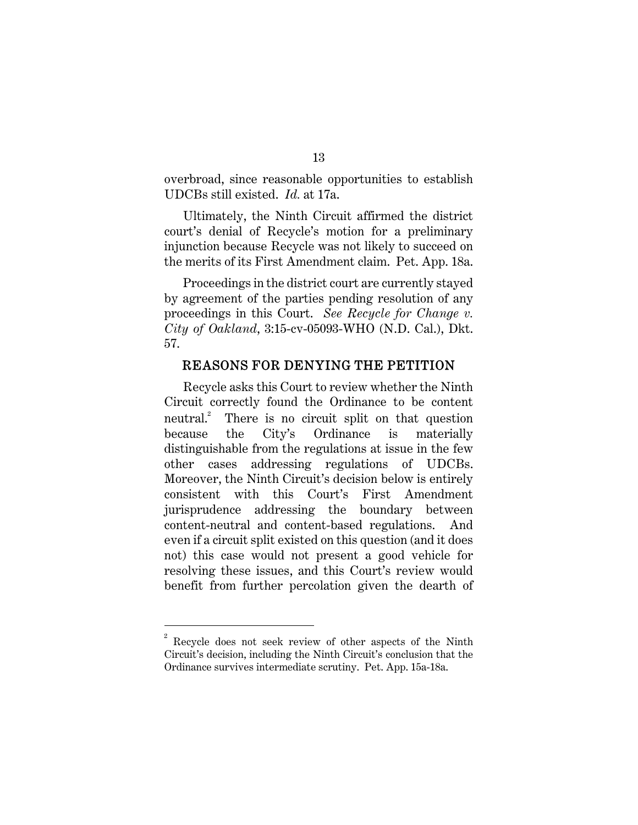overbroad, since reasonable opportunities to establish UDCBs still existed. *Id.* at 17a.

Ultimately, the Ninth Circuit affirmed the district court's denial of Recycle's motion for a preliminary injunction because Recycle was not likely to succeed on the merits of its First Amendment claim. Pet. App. 18a.

Proceedings in the district court are currently stayed by agreement of the parties pending resolution of any proceedings in this Court. *See Recycle for Change v. City of Oakland*, 3:15-cv-05093-WHO (N.D. Cal.), Dkt. 57.

#### REASONS FOR DENYING THE PETITION

Recycle asks this Court to review whether the Ninth Circuit correctly found the Ordinance to be content  $neutral.<sup>2</sup>$  There is no circuit split on that question because the City's Ordinance is materially distinguishable from the regulations at issue in the few other cases addressing regulations of UDCBs. Moreover, the Ninth Circuit's decision below is entirely consistent with this Court's First Amendment jurisprudence addressing the boundary between content-neutral and content-based regulations. And even if a circuit split existed on this question (and it does not) this case would not present a good vehicle for resolving these issues, and this Court's review would benefit from further percolation given the dearth of

 $\overline{a}$ 

<sup>2</sup> Recycle does not seek review of other aspects of the Ninth Circuit's decision, including the Ninth Circuit's conclusion that the Ordinance survives intermediate scrutiny. Pet. App. 15a-18a.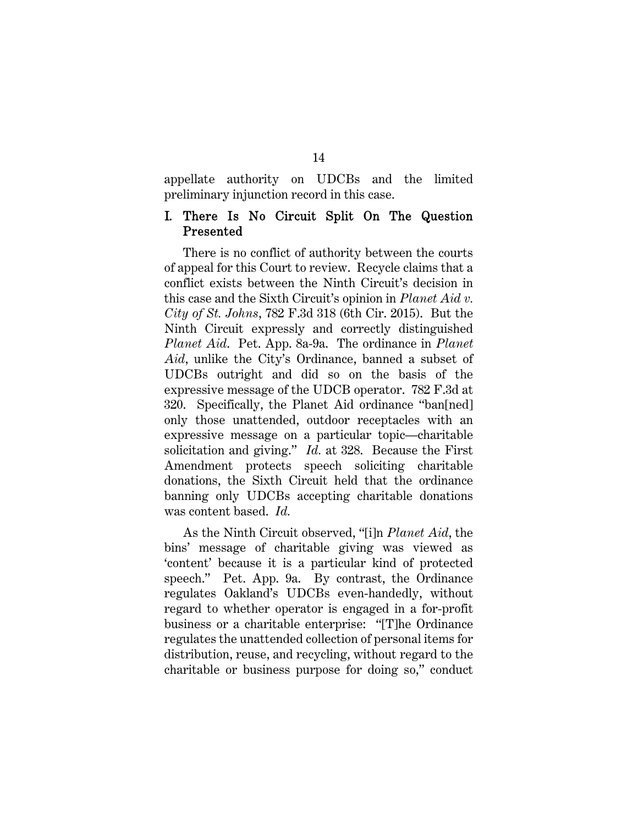appellate authority on UDCBs and the limited preliminary injunction record in this case.

### I. There Is No Circuit Split On The Question Presented

There is no conflict of authority between the courts of appeal for this Court to review. Recycle claims that a conflict exists between the Ninth Circuit's decision in this case and the Sixth Circuit's opinion in *Planet Aid v. City of St. Johns*, 782 F.3d 318 (6th Cir. 2015). But the Ninth Circuit expressly and correctly distinguished *Planet Aid*. Pet. App. 8a-9a. The ordinance in *Planet Aid*, unlike the City's Ordinance, banned a subset of UDCBs outright and did so on the basis of the expressive message of the UDCB operator. 782 F.3d at 320. Specifically, the Planet Aid ordinance "ban[ned] only those unattended, outdoor receptacles with an expressive message on a particular topic—charitable solicitation and giving." *Id.* at 328. Because the First Amendment protects speech soliciting charitable donations, the Sixth Circuit held that the ordinance banning only UDCBs accepting charitable donations was content based. *Id.*

As the Ninth Circuit observed, "[i]n *Planet Aid*, the bins' message of charitable giving was viewed as 'content' because it is a particular kind of protected speech." Pet. App. 9a. By contrast, the Ordinance regulates Oakland's UDCBs even-handedly, without regard to whether operator is engaged in a for-profit business or a charitable enterprise: "[T]he Ordinance regulates the unattended collection of personal items for distribution, reuse, and recycling, without regard to the charitable or business purpose for doing so," conduct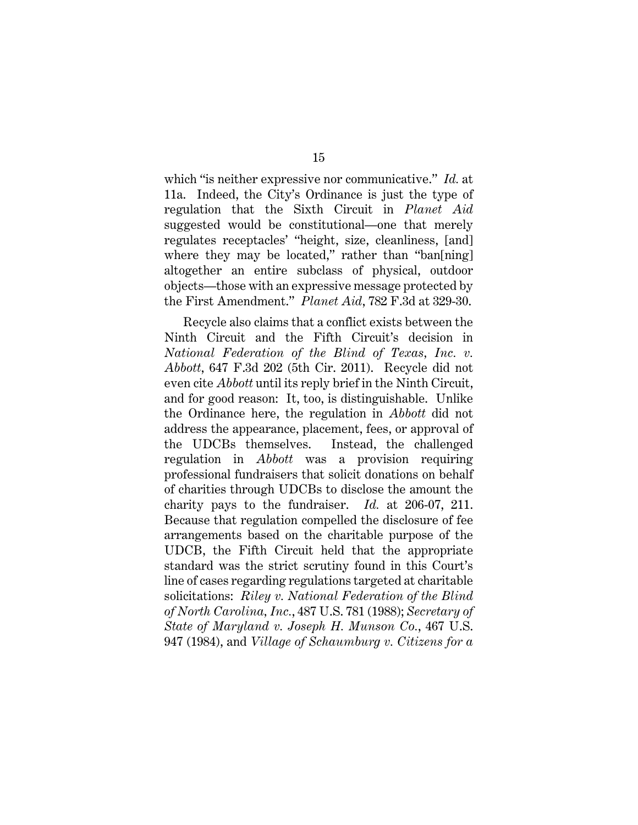which "is neither expressive nor communicative." *Id.* at 11a. Indeed, the City's Ordinance is just the type of regulation that the Sixth Circuit in *Planet Aid*  suggested would be constitutional—one that merely regulates receptacles' "height, size, cleanliness, [and] where they may be located," rather than "ban[ning] altogether an entire subclass of physical, outdoor objects—those with an expressive message protected by the First Amendment." *Planet Aid*, 782 F.3d at 329-30.

Recycle also claims that a conflict exists between the Ninth Circuit and the Fifth Circuit's decision in *National Federation of the Blind of Texas, Inc. v. Abbott*, 647 F.3d 202 (5th Cir. 2011). Recycle did not even cite *Abbott* until its reply brief in the Ninth Circuit, and for good reason: It, too, is distinguishable. Unlike the Ordinance here, the regulation in *Abbott* did not address the appearance, placement, fees, or approval of the UDCBs themselves. Instead, the challenged regulation in *Abbott* was a provision requiring professional fundraisers that solicit donations on behalf of charities through UDCBs to disclose the amount the charity pays to the fundraiser. *Id.* at 206-07, 211. Because that regulation compelled the disclosure of fee arrangements based on the charitable purpose of the UDCB, the Fifth Circuit held that the appropriate standard was the strict scrutiny found in this Court's line of cases regarding regulations targeted at charitable solicitations: *Riley v. National Federation of the Blind of North Carolina, Inc.*, 487 U.S. 781 (1988); *Secretary of State of Maryland v. Joseph H. Munson Co.*, 467 U.S. 947 (1984), and *Village of Schaumburg v. Citizens for a*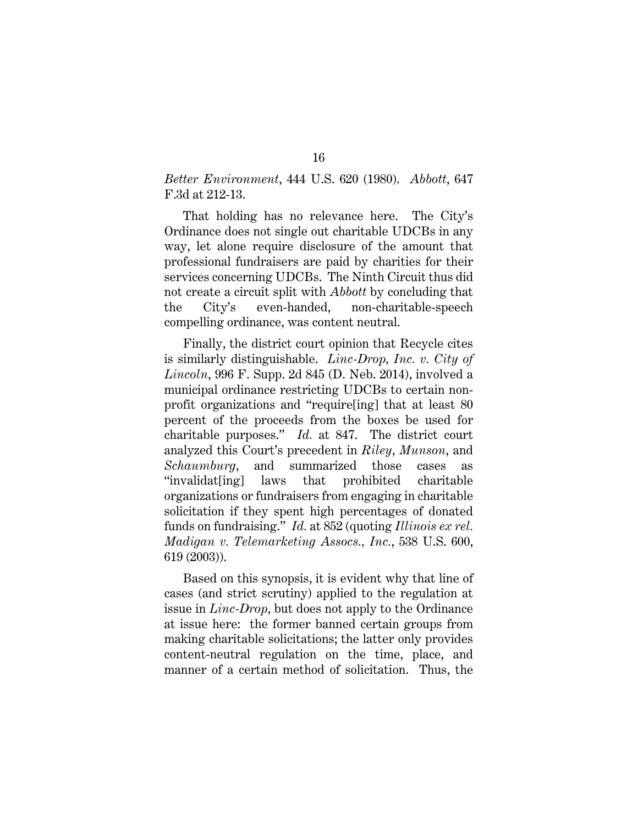*Better Environment*, 444 U.S. 620 (1980). *Abbott*, 647 F.3d at 212-13.

That holding has no relevance here. The City's Ordinance does not single out charitable UDCBs in any way, let alone require disclosure of the amount that professional fundraisers are paid by charities for their services concerning UDCBs. The Ninth Circuit thus did not create a circuit split with *Abbott* by concluding that the City's even-handed, non-charitable-speech compelling ordinance, was content neutral.

Finally, the district court opinion that Recycle cites is similarly distinguishable. *Linc-Drop, Inc. v. City of Lincoln*, 996 F. Supp. 2d 845 (D. Neb. 2014), involved a municipal ordinance restricting UDCBs to certain nonprofit organizations and "require[ing] that at least 80 percent of the proceeds from the boxes be used for charitable purposes." *Id.* at 847. The district court analyzed this Court's precedent in *Riley*, *Munson*, and *Schaumburg*, and summarized those cases as "invalidat[ing] laws that prohibited charitable organizations or fundraisers from engaging in charitable solicitation if they spent high percentages of donated funds on fundraising." *Id.* at 852 (quoting *Illinois ex rel. Madigan v. Telemarketing Assocs., Inc.*, 538 U.S. 600, 619 (2003)).

Based on this synopsis, it is evident why that line of cases (and strict scrutiny) applied to the regulation at issue in *Linc-Drop*, but does not apply to the Ordinance at issue here: the former banned certain groups from making charitable solicitations; the latter only provides content-neutral regulation on the time, place, and manner of a certain method of solicitation. Thus, the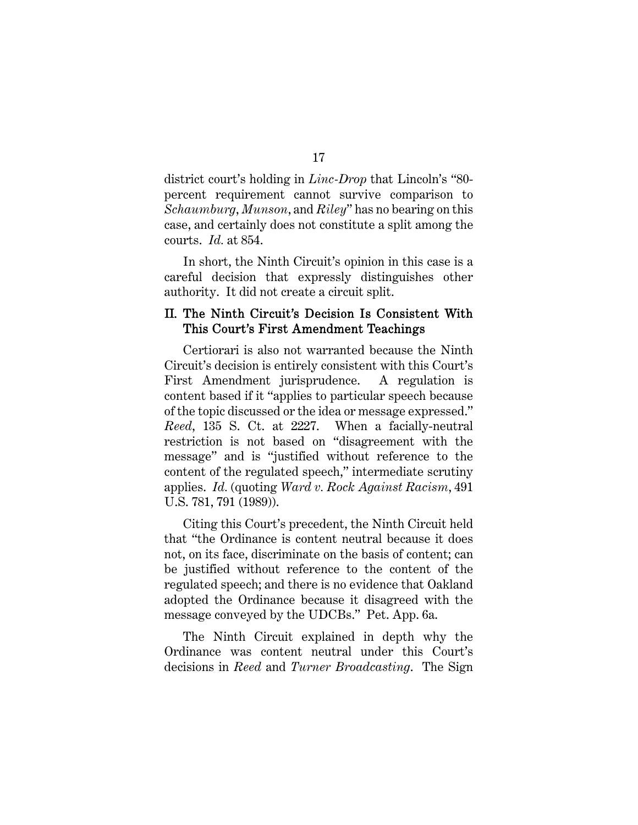district court's holding in *Linc-Drop* that Lincoln's "80 percent requirement cannot survive comparison to *Schaumburg*, *Munson*, and *Riley*" has no bearing on this case, and certainly does not constitute a split among the courts. *Id.* at 854.

In short, the Ninth Circuit's opinion in this case is a careful decision that expressly distinguishes other authority. It did not create a circuit split.

#### II. The Ninth Circuit's Decision Is Consistent With This Court's First Amendment Teachings

Certiorari is also not warranted because the Ninth Circuit's decision is entirely consistent with this Court's First Amendment jurisprudence. A regulation is content based if it "applies to particular speech because of the topic discussed or the idea or message expressed." *Reed*, 135 S. Ct. at 2227. When a facially-neutral restriction is not based on "disagreement with the message" and is "justified without reference to the content of the regulated speech," intermediate scrutiny applies. *Id.* (quoting *Ward v. Rock Against Racism*, 491 U.S. 781, 791 (1989)).

Citing this Court's precedent, the Ninth Circuit held that "the Ordinance is content neutral because it does not, on its face, discriminate on the basis of content; can be justified without reference to the content of the regulated speech; and there is no evidence that Oakland adopted the Ordinance because it disagreed with the message conveyed by the UDCBs." Pet. App. 6a.

The Ninth Circuit explained in depth why the Ordinance was content neutral under this Court's decisions in *Reed* and *Turner Broadcasting*. The Sign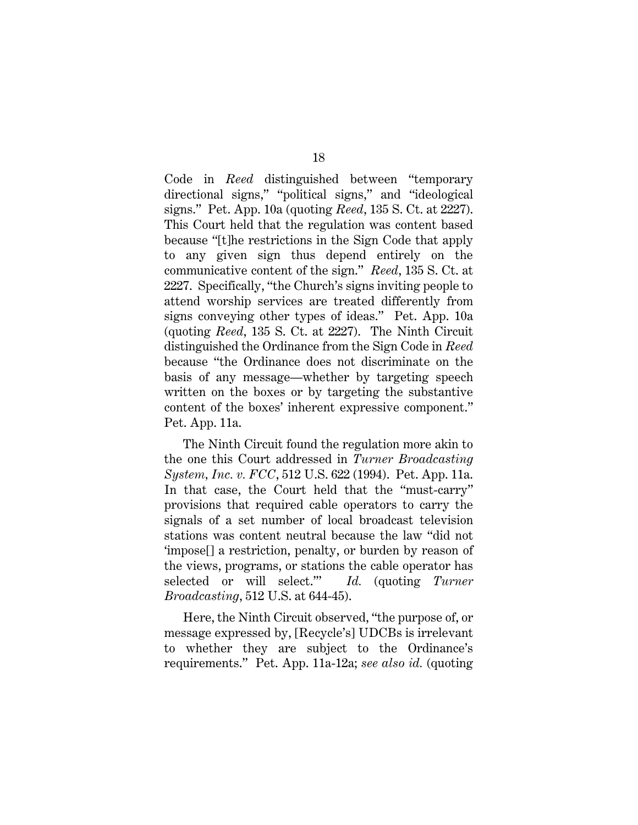Code in *Reed* distinguished between "temporary directional signs," "political signs," and "ideological signs." Pet. App. 10a (quoting *Reed*, 135 S. Ct. at 2227). This Court held that the regulation was content based because "[t]he restrictions in the Sign Code that apply to any given sign thus depend entirely on the communicative content of the sign." *Reed*, 135 S. Ct. at 2227. Specifically, "the Church's signs inviting people to attend worship services are treated differently from signs conveying other types of ideas." Pet. App. 10a (quoting *Reed*, 135 S. Ct. at 2227). The Ninth Circuit distinguished the Ordinance from the Sign Code in *Reed* because "the Ordinance does not discriminate on the basis of any message—whether by targeting speech written on the boxes or by targeting the substantive content of the boxes' inherent expressive component." Pet. App. 11a.

The Ninth Circuit found the regulation more akin to the one this Court addressed in *Turner Broadcasting System, Inc. v. FCC*, 512 U.S. 622 (1994). Pet. App. 11a. In that case, the Court held that the "must-carry" provisions that required cable operators to carry the signals of a set number of local broadcast television stations was content neutral because the law "did not 'impose[] a restriction, penalty, or burden by reason of the views, programs, or stations the cable operator has selected or will select.'" *Id.* (quoting *Turner Broadcasting*, 512 U.S. at 644-45).

Here, the Ninth Circuit observed, "the purpose of, or message expressed by, [Recycle's] UDCBs is irrelevant to whether they are subject to the Ordinance's requirements." Pet. App. 11a-12a; *see also id.* (quoting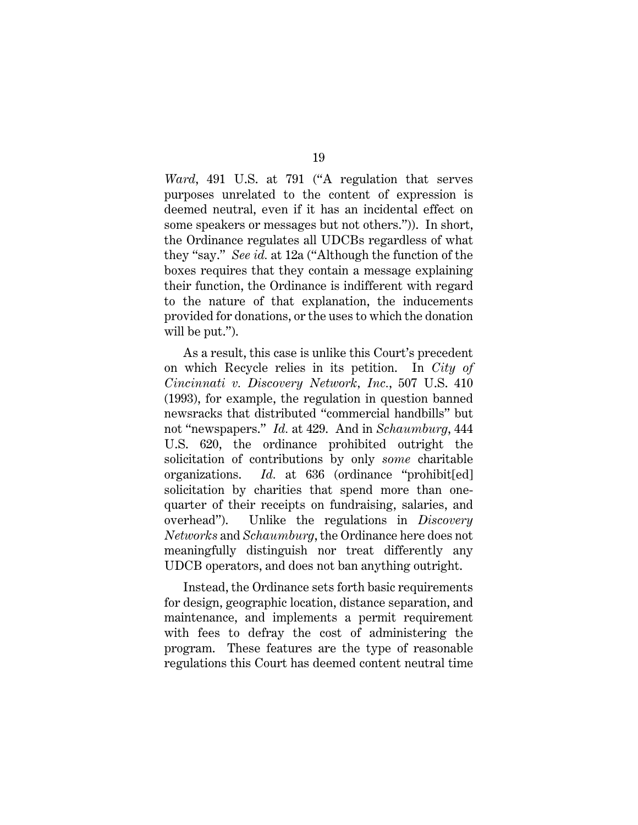*Ward*, 491 U.S. at 791 ("A regulation that serves purposes unrelated to the content of expression is deemed neutral, even if it has an incidental effect on some speakers or messages but not others.")). In short, the Ordinance regulates all UDCBs regardless of what they "say." *See id.* at 12a ("Although the function of the boxes requires that they contain a message explaining their function, the Ordinance is indifferent with regard to the nature of that explanation, the inducements provided for donations, or the uses to which the donation will be put.").

As a result, this case is unlike this Court's precedent on which Recycle relies in its petition. In *City of Cincinnati v. Discovery Network, Inc.*, 507 U.S. 410 (1993), for example, the regulation in question banned newsracks that distributed "commercial handbills" but not "newspapers." *Id.* at 429. And in *Schaumburg*, 444 U.S. 620, the ordinance prohibited outright the solicitation of contributions by only *some* charitable organizations. *Id.* at 636 (ordinance "prohibit[ed] solicitation by charities that spend more than onequarter of their receipts on fundraising, salaries, and overhead"). Unlike the regulations in *Discovery Networks* and *Schaumburg*, the Ordinance here does not meaningfully distinguish nor treat differently any UDCB operators, and does not ban anything outright.

Instead, the Ordinance sets forth basic requirements for design, geographic location, distance separation, and maintenance, and implements a permit requirement with fees to defray the cost of administering the program. These features are the type of reasonable regulations this Court has deemed content neutral time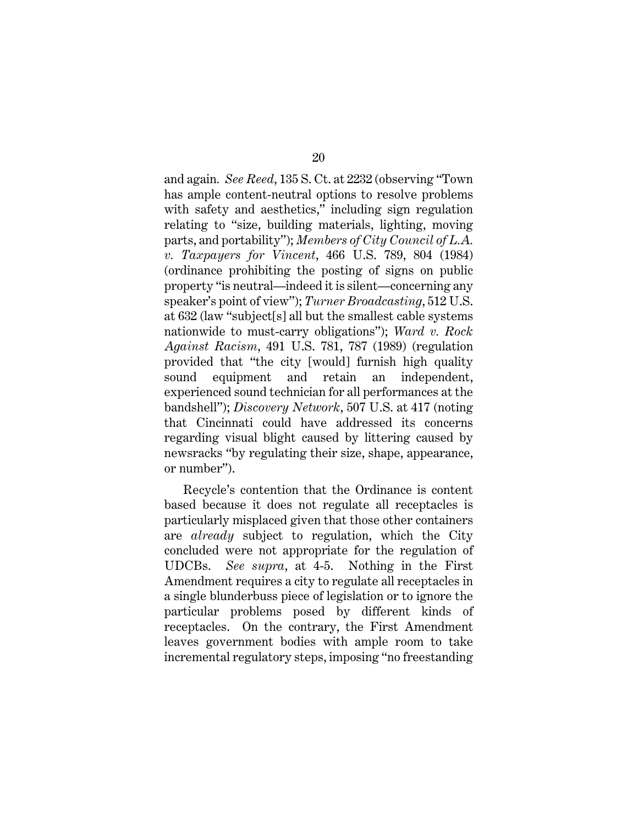and again*. See Reed*, 135 S. Ct. at 2232 (observing "Town has ample content-neutral options to resolve problems with safety and aesthetics," including sign regulation relating to "size, building materials, lighting, moving parts, and portability"); *Members of City Council of L.A. v. Taxpayers for Vincent*, 466 U.S. 789, 804 (1984) (ordinance prohibiting the posting of signs on public property "is neutral—indeed it is silent—concerning any speaker's point of view"); *Turner Broadcasting*, 512 U.S. at 632 (law "subject[s] all but the smallest cable systems nationwide to must-carry obligations"); *Ward v. Rock Against Racism*, 491 U.S. 781, 787 (1989) (regulation provided that "the city [would] furnish high quality sound equipment and retain an independent, experienced sound technician for all performances at the bandshell"); *Discovery Network*, 507 U.S. at 417 (noting that Cincinnati could have addressed its concerns regarding visual blight caused by littering caused by newsracks "by regulating their size, shape, appearance, or number").

Recycle's contention that the Ordinance is content based because it does not regulate all receptacles is particularly misplaced given that those other containers are *already* subject to regulation, which the City concluded were not appropriate for the regulation of UDCBs. *See supra*, at 4-5. Nothing in the First Amendment requires a city to regulate all receptacles in a single blunderbuss piece of legislation or to ignore the particular problems posed by different kinds of receptacles. On the contrary, the First Amendment leaves government bodies with ample room to take incremental regulatory steps, imposing "no freestanding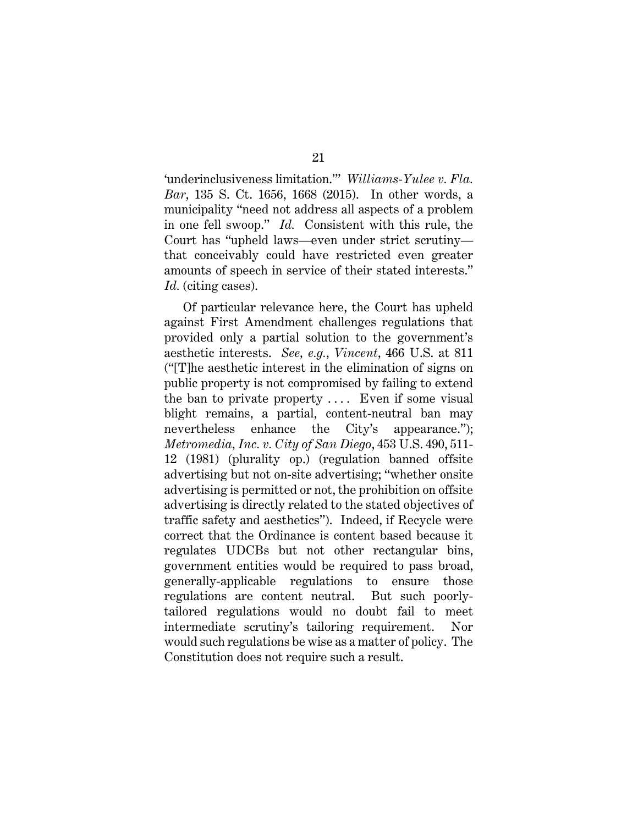'underinclusiveness limitation.'" *Williams-Yulee v. Fla. Bar*, 135 S. Ct. 1656, 1668 (2015). In other words, a municipality "need not address all aspects of a problem in one fell swoop." *Id.* Consistent with this rule, the Court has "upheld laws—even under strict scrutiny that conceivably could have restricted even greater amounts of speech in service of their stated interests." *Id.* (citing cases).

Of particular relevance here, the Court has upheld against First Amendment challenges regulations that provided only a partial solution to the government's aesthetic interests. *See, e.g.*, *Vincent*, 466 U.S. at 811 ("[T]he aesthetic interest in the elimination of signs on public property is not compromised by failing to extend the ban to private property  $\dots$ . Even if some visual blight remains, a partial, content-neutral ban may nevertheless enhance the City's appearance."); *Metromedia, Inc. v. City of San Diego*, 453 U.S. 490, 511- 12 (1981) (plurality op.) (regulation banned offsite advertising but not on-site advertising; "whether onsite advertising is permitted or not, the prohibition on offsite advertising is directly related to the stated objectives of traffic safety and aesthetics"). Indeed, if Recycle were correct that the Ordinance is content based because it regulates UDCBs but not other rectangular bins, government entities would be required to pass broad, generally-applicable regulations to ensure those regulations are content neutral. But such poorlytailored regulations would no doubt fail to meet intermediate scrutiny's tailoring requirement. Nor would such regulations be wise as a matter of policy. The Constitution does not require such a result.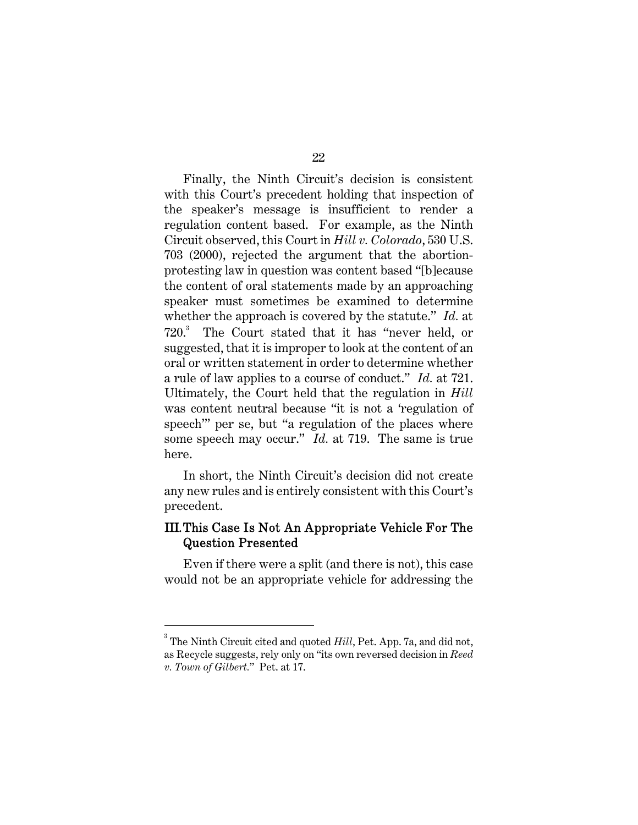Finally, the Ninth Circuit's decision is consistent with this Court's precedent holding that inspection of the speaker's message is insufficient to render a regulation content based. For example, as the Ninth Circuit observed, this Court in *Hill v. Colorado*, 530 U.S. 703 (2000), rejected the argument that the abortionprotesting law in question was content based "[b]ecause the content of oral statements made by an approaching speaker must sometimes be examined to determine whether the approach is covered by the statute." *Id.* at 720.<sup>3</sup> The Court stated that it has "never held, or suggested, that it is improper to look at the content of an oral or written statement in order to determine whether a rule of law applies to a course of conduct." *Id.* at 721. Ultimately, the Court held that the regulation in *Hill*  was content neutral because "it is not a 'regulation of speech'" per se, but "a regulation of the places where some speech may occur." *Id.* at 719. The same is true here.

In short, the Ninth Circuit's decision did not create any new rules and is entirely consistent with this Court's precedent.

## III.This Case Is Not An Appropriate Vehicle For The Question Presented

Even if there were a split (and there is not), this case would not be an appropriate vehicle for addressing the

 $\overline{a}$ 

 $^3$  The Ninth Circuit cited and quoted *Hill*, Pet. App. 7a, and did not, as Recycle suggests, rely only on "its own reversed decision in *Reed v. Town of Gilbert.*" Pet. at 17.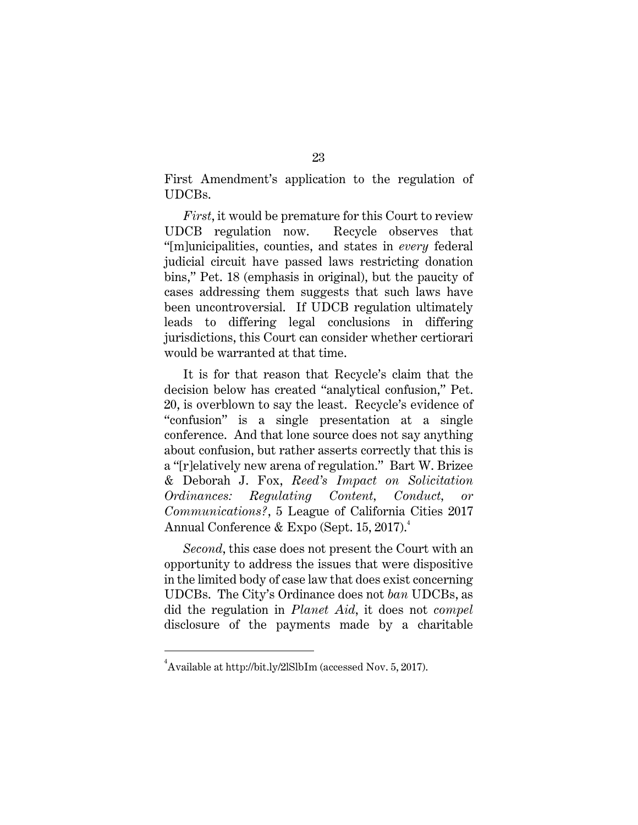First Amendment's application to the regulation of UDCBs.

*First*, it would be premature for this Court to review UDCB regulation now. Recycle observes that "[m]unicipalities, counties, and states in *every* federal judicial circuit have passed laws restricting donation bins," Pet. 18 (emphasis in original), but the paucity of cases addressing them suggests that such laws have been uncontroversial. If UDCB regulation ultimately leads to differing legal conclusions in differing jurisdictions, this Court can consider whether certiorari would be warranted at that time.

It is for that reason that Recycle's claim that the decision below has created "analytical confusion," Pet. 20, is overblown to say the least. Recycle's evidence of "confusion" is a single presentation at a single conference. And that lone source does not say anything about confusion, but rather asserts correctly that this is a "[r]elatively new arena of regulation." Bart W. Brizee & Deborah J. Fox, *Reed's Impact on Solicitation Ordinances: Regulating Content, Conduct, or Communications?*, 5 League of California Cities 2017 Annual Conference & Expo (Sept. 15, 2017).<sup>4</sup>

*Second*, this case does not present the Court with an opportunity to address the issues that were dispositive in the limited body of case law that does exist concerning UDCBs. The City's Ordinance does not *ban* UDCBs, as did the regulation in *Planet Aid*, it does not *compel*  disclosure of the payments made by a charitable

 $\overline{a}$ 

 $^4$ Available at http://bit.ly/2lSlbIm (accessed Nov. 5, 2017).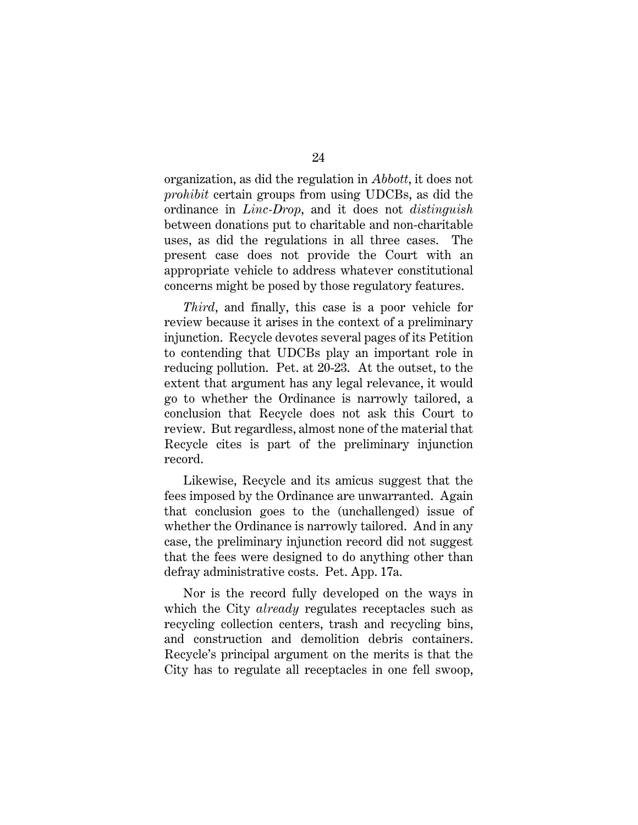organization, as did the regulation in *Abbott*, it does not *prohibit* certain groups from using UDCBs, as did the ordinance in *Linc-Drop*, and it does not *distinguish* between donations put to charitable and non-charitable uses, as did the regulations in all three cases. The present case does not provide the Court with an appropriate vehicle to address whatever constitutional concerns might be posed by those regulatory features.

*Third*, and finally, this case is a poor vehicle for review because it arises in the context of a preliminary injunction. Recycle devotes several pages of its Petition to contending that UDCBs play an important role in reducing pollution. Pet. at 20-23. At the outset, to the extent that argument has any legal relevance, it would go to whether the Ordinance is narrowly tailored, a conclusion that Recycle does not ask this Court to review. But regardless, almost none of the material that Recycle cites is part of the preliminary injunction record.

Likewise, Recycle and its amicus suggest that the fees imposed by the Ordinance are unwarranted. Again that conclusion goes to the (unchallenged) issue of whether the Ordinance is narrowly tailored. And in any case, the preliminary injunction record did not suggest that the fees were designed to do anything other than defray administrative costs. Pet. App. 17a.

Nor is the record fully developed on the ways in which the City *already* regulates receptacles such as recycling collection centers, trash and recycling bins, and construction and demolition debris containers. Recycle's principal argument on the merits is that the City has to regulate all receptacles in one fell swoop,